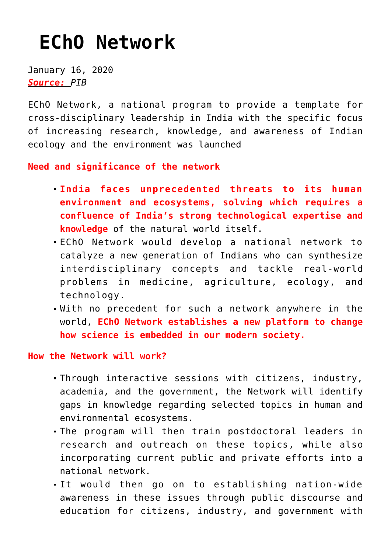## **[EChO Network](https://journalsofindia.com/echo-network/)**

January 16, 2020 *Source: PIB*

EChO Network, a national program to provide a template for cross-disciplinary leadership in India with the specific focus of increasing research, knowledge, and awareness of Indian ecology and the environment was launched

**Need and significance of the network**

- **India faces unprecedented threats to its human environment and ecosystems, solving which requires a confluence of India's strong technological expertise and knowledge** of the natural world itself.
- EChO Network would develop a national network to catalyze a new generation of Indians who can synthesize interdisciplinary concepts and tackle real-world problems in medicine, agriculture, ecology, and technology.
- With no precedent for such a network anywhere in the world, **EChO Network establishes a new platform to change how science is embedded in our modern society.**

**How the Network will work?**

- Through interactive sessions with citizens, industry, academia, and the government, the Network will identify gaps in knowledge regarding selected topics in human and environmental ecosystems.
- The program will then train postdoctoral leaders in research and outreach on these topics, while also incorporating current public and private efforts into a national network.
- It would then go on to establishing nation-wide awareness in these issues through public discourse and education for citizens, industry, and government with